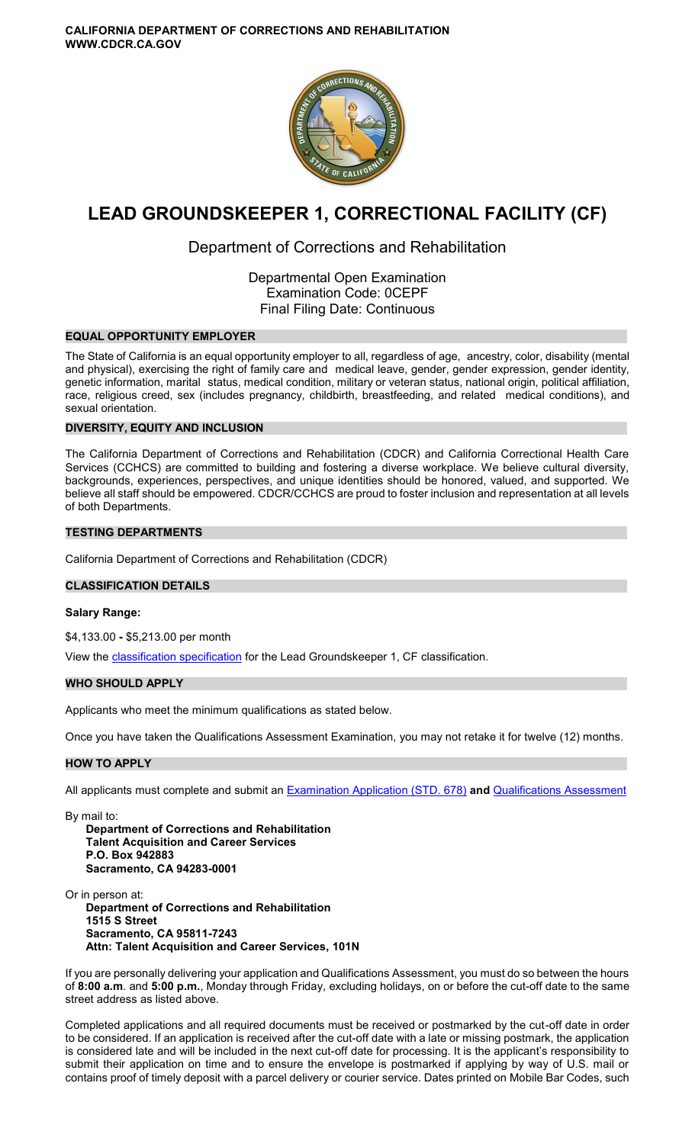

# **LEAD GROUNDSKEEPER 1, CORRECTIONAL FACILITY (CF)**

# Department of Corrections and Rehabilitation

Departmental Open Examination Examination Code: 0CEPF Final Filing Date: Continuous

# **EQUAL OPPORTUNITY EMPLOYER**

The State of California is an equal opportunity employer to all, regardless of age, ancestry, color, disability (mental and physical), exercising the right of family care and medical leave, gender, gender expression, gender identity, genetic information, marital status, medical condition, military or veteran status, national origin, political affiliation, race, religious creed, sex (includes pregnancy, childbirth, breastfeeding, and related medical conditions), and sexual orientation.

# **DIVERSITY, EQUITY AND INCLUSION**

The California Department of Corrections and Rehabilitation (CDCR) and California Correctional Health Care Services (CCHCS) are committed to building and fostering a diverse workplace. We believe cultural diversity, backgrounds, experiences, perspectives, and unique identities should be honored, valued, and supported. We believe all staff should be empowered. CDCR/CCHCS are proud to foster inclusion and representation at all levels of both Departments.

# **TESTING DEPARTMENTS**

California Department of Corrections and Rehabilitation (CDCR)

# **CLASSIFICATION DETAILS**

# **Salary Range:**

\$4,133.00 **-** \$5,213.00 per month

View the **classification specification** for the Lead Groundskeeper 1, CF classification.

# **WHO SHOULD APPLY**

Applicants who meet the minimum qualifications as stated below.

Once you have taken the Qualifications Assessment Examination, you may not retake it for twelve (12) months.

# **HOW TO APPLY**

All applicants must complete and submit an [Examination Application \(STD. 678\)](https://jobs.ca.gov/pdf/STD678.pdf) **and** [Qualifications Assessment](https://www.cdcr.ca.gov/careers/leadgrounds1cfqa-o-c-2/) 

By mail to:

**Department of Corrections and Rehabilitation Talent Acquisition and Career Services P.O. Box 942883 Sacramento, CA 94283-0001** 

Or in person at:

**Department of Corrections and Rehabilitation 1515 S Street Sacramento, CA 95811-7243 Attn: Talent Acquisition and Career Services, 101N** 

If you are personally delivering your application and Qualifications Assessment, you must do so between the hours of **8:00 a.m**. and **5:00 p.m.**, Monday through Friday, excluding holidays, on or before the cut-off date to the same street address as listed above.

Completed applications and all required documents must be received or postmarked by the cut-off date in order to be considered. If an application is received after the cut-off date with a late or missing postmark, the application is considered late and will be included in the next cut-off date for processing. It is the applicant's responsibility to submit their application on time and to ensure the envelope is postmarked if applying by way of U.S. mail or contains proof of timely deposit with a parcel delivery or courier service. Dates printed on Mobile Bar Codes, such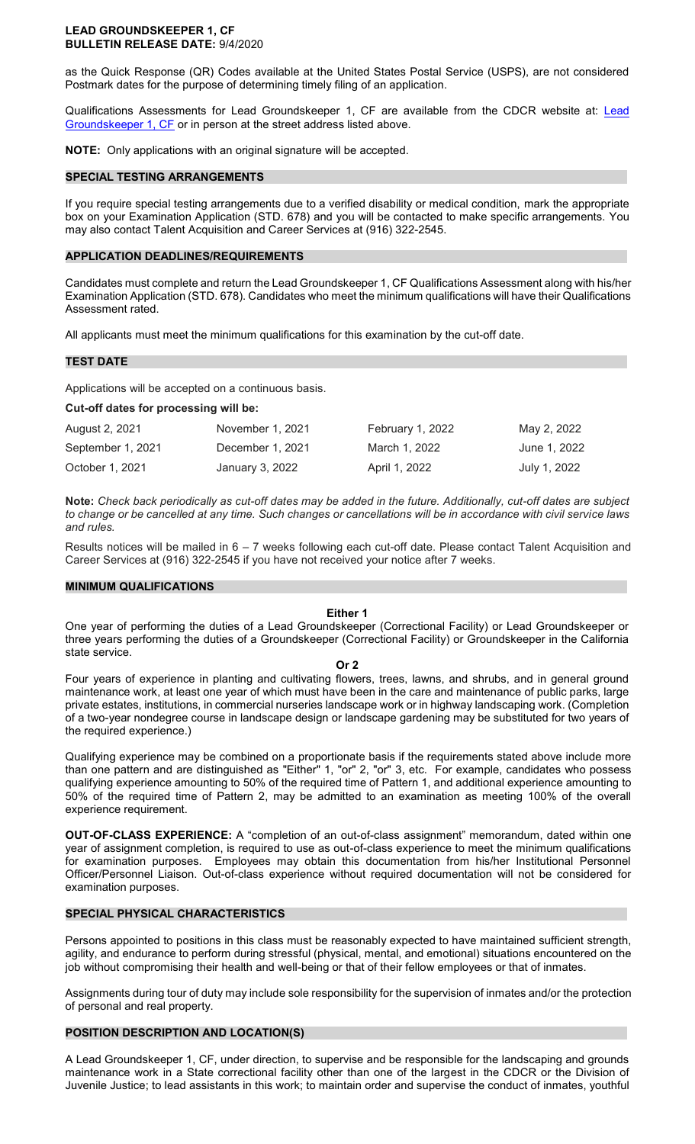#### **LEAD GROUNDSKEEPER 1, CF BULLETIN RELEASE DATE:** 9/4/2020

as the Quick Response (QR) Codes available at the United States Postal Service (USPS), are not considered Postmark dates for the purpose of determining timely filing of an application.

Qualifications Assessments for Lead Groundskeeper 1, CF are available from the CDCR website at: [Lead](https://www.cdcr.ca.gov/careers/leadgrounds1cfqa-o-c-2/)  [Groundskeeper 1, CF](https://www.cdcr.ca.gov/careers/leadgrounds1cfqa-o-c-2/) or in person at the street address listed above.

**NOTE:** Only applications with an original signature will be accepted.

#### **SPECIAL TESTING ARRANGEMENTS**

If you require special testing arrangements due to a verified disability or medical condition, mark the appropriate box on your Examination Application (STD. 678) and you will be contacted to make specific arrangements. You may also contact Talent Acquisition and Career Services at (916) 322-2545.

#### **APPLICATION DEADLINES/REQUIREMENTS**

Candidates must complete and return the Lead Groundskeeper 1, CF Qualifications Assessment along with his/her Examination Application (STD. 678). Candidates who meet the minimum qualifications will have their Qualifications Assessment rated.

All applicants must meet the minimum qualifications for this examination by the cut-off date.

# **TEST DATE**

Applications will be accepted on a continuous basis.

#### **Cut-off dates for processing will be:**

| August 2, 2021    | November 1, 2021 | February 1, 2022 | May 2, 2022  |
|-------------------|------------------|------------------|--------------|
| September 1, 2021 | December 1, 2021 | March 1, 2022    | June 1, 2022 |
| October 1, 2021   | January 3, 2022  | April 1, 2022    | July 1, 2022 |

**Note:** *Check back periodically as cut-off dates may be added in the future. Additionally, cut-off dates are subject to change or be cancelled at any time. Such changes or cancellations will be in accordance with civil service laws and rules.* 

Results notices will be mailed in 6 – 7 weeks following each cut-off date. Please contact Talent Acquisition and Career Services at (916) 322-2545 if you have not received your notice after 7 weeks.

#### **MINIMUM QUALIFICATIONS**

#### **Either 1**

One year of performing the duties of a Lead Groundskeeper (Correctional Facility) or Lead Groundskeeper or three years performing the duties of a Groundskeeper (Correctional Facility) or Groundskeeper in the California state service.

#### **Or 2**

Four years of experience in planting and cultivating flowers, trees, lawns, and shrubs, and in general ground maintenance work, at least one year of which must have been in the care and maintenance of public parks, large private estates, institutions, in commercial nurseries landscape work or in highway landscaping work. (Completion of a two-year nondegree course in landscape design or landscape gardening may be substituted for two years of the required experience.)

Qualifying experience may be combined on a proportionate basis if the requirements stated above include more than one pattern and are distinguished as "Either" 1, "or" 2, "or" 3, etc. For example, candidates who possess qualifying experience amounting to 50% of the required time of Pattern 1, and additional experience amounting to 50% of the required time of Pattern 2, may be admitted to an examination as meeting 100% of the overall experience requirement.

**OUT-OF-CLASS EXPERIENCE:** A "completion of an out-of-class assignment" memorandum, dated within one year of assignment completion, is required to use as out-of-class experience to meet the minimum qualifications for examination purposes. Employees may obtain this documentation from his/her Institutional Personnel Officer/Personnel Liaison. Out-of-class experience without required documentation will not be considered for examination purposes.

#### **SPECIAL PHYSICAL CHARACTERISTICS**

Persons appointed to positions in this class must be reasonably expected to have maintained sufficient strength, agility, and endurance to perform during stressful (physical, mental, and emotional) situations encountered on the job without compromising their health and well-being or that of their fellow employees or that of inmates.

Assignments during tour of duty may include sole responsibility for the supervision of inmates and/or the protection of personal and real property.

# **POSITION DESCRIPTION AND LOCATION(S)**

A Lead Groundskeeper 1, CF, under direction, to supervise and be responsible for the landscaping and grounds maintenance work in a State correctional facility other than one of the largest in the CDCR or the Division of Juvenile Justice; to lead assistants in this work; to maintain order and supervise the conduct of inmates, youthful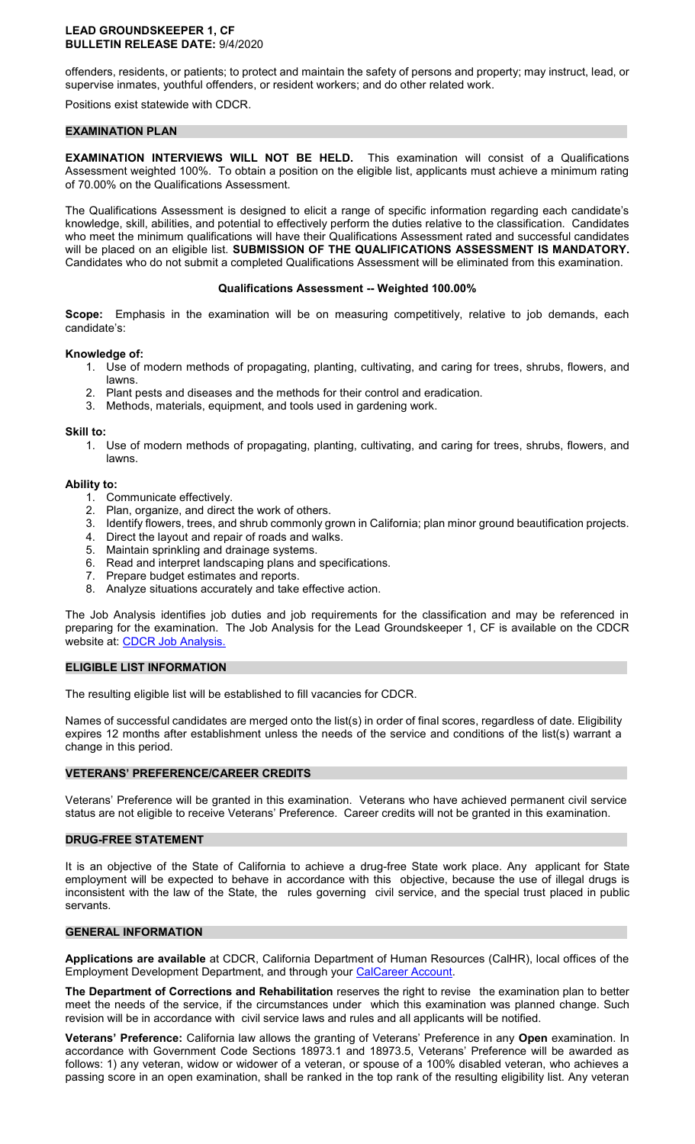#### **LEAD GROUNDSKEEPER 1, CF BULLETIN RELEASE DATE:** 9/4/2020

offenders, residents, or patients; to protect and maintain the safety of persons and property; may instruct, lead, or supervise inmates, youthful offenders, or resident workers; and do other related work.

Positions exist statewide with CDCR.

#### **EXAMINATION PLAN**

**EXAMINATION INTERVIEWS WILL NOT BE HELD.** This examination will consist of a Qualifications Assessment weighted 100%. To obtain a position on the eligible list, applicants must achieve a minimum rating of 70.00% on the Qualifications Assessment.

The Qualifications Assessment is designed to elicit a range of specific information regarding each candidate's knowledge, skill, abilities, and potential to effectively perform the duties relative to the classification. Candidates who meet the minimum qualifications will have their Qualifications Assessment rated and successful candidates will be placed on an eligible list. **SUBMISSION OF THE QUALIFICATIONS ASSESSMENT IS MANDATORY.**  Candidates who do not submit a completed Qualifications Assessment will be eliminated from this examination.

#### **Qualifications Assessment -- Weighted 100.00%**

**Scope:** Emphasis in the examination will be on measuring competitively, relative to job demands, each candidate's:

#### **Knowledge of:**

- 1. Use of modern methods of propagating, planting, cultivating, and caring for trees, shrubs, flowers, and lawns.
- 2. Plant pests and diseases and the methods for their control and eradication.
- 3. Methods, materials, equipment, and tools used in gardening work.

#### **Skill to:**

1. Use of modern methods of propagating, planting, cultivating, and caring for trees, shrubs, flowers, and lawns.

#### **Ability to:**

- 1. Communicate effectively.
- 2. Plan, organize, and direct the work of others.
- 3. Identify flowers, trees, and shrub commonly grown in California; plan minor ground beautification projects.
- 4. Direct the layout and repair of roads and walks.
- 5. Maintain sprinkling and drainage systems.
- 6. Read and interpret landscaping plans and specifications.
- 7. Prepare budget estimates and reports.
- 8. Analyze situations accurately and take effective action.

The Job Analysis identifies job duties and job requirements for the classification and may be referenced in preparing for the examination. The Job Analysis for the Lead Groundskeeper 1, CF is available on the CDCR website at: [CDCR Job Analysis.](https://www.cdcr.ca.gov/Career_Opportunities/HR/OPS/Exams/Analysis/index.html)

#### **ELIGIBLE LIST INFORMATION**

The resulting eligible list will be established to fill vacancies for CDCR.

Names of successful candidates are merged onto the list(s) in order of final scores, regardless of date. Eligibility expires 12 months after establishment unless the needs of the service and conditions of the list(s) warrant a change in this period.

#### **VETERANS' PREFERENCE/CAREER CREDITS**

Veterans' Preference will be granted in this examination. Veterans who have achieved permanent civil service status are not eligible to receive Veterans' Preference. Career credits will not be granted in this examination.

#### **DRUG-FREE STATEMENT**

It is an objective of the State of California to achieve a drug-free State work place. Any applicant for State employment will be expected to behave in accordance with this objective, because the use of illegal drugs is inconsistent with the law of the State, the rules governing civil service, and the special trust placed in public servants.

#### **GENERAL INFORMATION**

**Applications are available** at CDCR, California Department of Human Resources (CalHR), local offices of the Employment Development Department, and through your [CalCareer Account.](https://www.jobs.ca.gov/)

**The Department of Corrections and Rehabilitation** reserves the right to revise the examination plan to better meet the needs of the service, if the circumstances under which this examination was planned change. Such revision will be in accordance with civil service laws and rules and all applicants will be notified.

**Veterans' Preference:** California law allows the granting of Veterans' Preference in any **Open** examination. In accordance with Government Code Sections 18973.1 and 18973.5, Veterans' Preference will be awarded as follows: 1) any veteran, widow or widower of a veteran, or spouse of a 100% disabled veteran, who achieves a passing score in an open examination, shall be ranked in the top rank of the resulting eligibility list. Any veteran